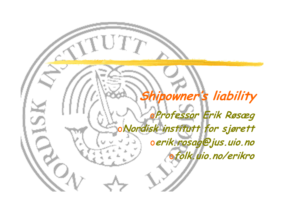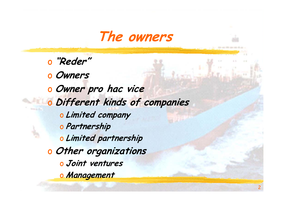

<sup>o</sup> **"Reder"** <sup>o</sup> **Owners** <sup>o</sup> **Owner pro hac vice** <sup>o</sup> **Different kinds of companies** <sup>o</sup> **Limited company** <sup>o</sup> **Partnership** <sup>o</sup> **Limited partnership** <sup>o</sup> **Other organizations** <sup>o</sup> **Joint ventures** <sup>o</sup> **Management**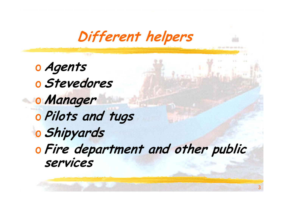**Different helpers**

<sup>o</sup> **Agents** <sup>o</sup> **Stevedores** <sup>o</sup> **Manager** <sup>o</sup> **Pilots and tugs** <sup>o</sup> **Shipyards** <sup>o</sup> **Fire department and other public services**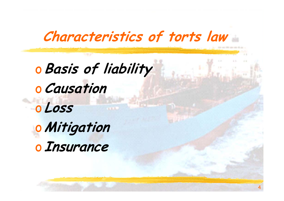## **Characteristics of torts law**

4

<sup>o</sup>**Basis of liability** <sup>o</sup>**Causation** <sup>o</sup> **Loss** <sup>o</sup>**Mitigation** <sup>o</sup> **Insurance**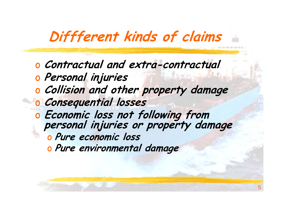## **Diffferent kinds of claims**

<sup>o</sup> **Contractual and extra-contractual** <sup>o</sup> **Personal injuries** <sup>o</sup> **Collision and other property damage** <sup>o</sup> **Consequential losses** <sup>o</sup> **Economic loss not following from personal injuries or property damage** <sup>o</sup> **Pure economic loss** <sup>o</sup> **Pure environmental damage**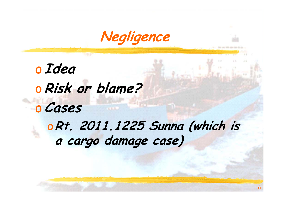

<sup>o</sup> **Idea** <sup>o</sup>**Risk or blame?** <sup>o</sup>**Cases** <sup>o</sup>**Rt. 2011.1225 Sunna (which is a cargo damage case)**

6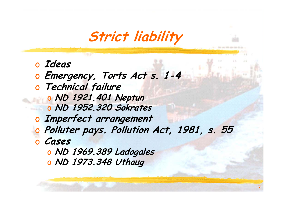**Strict liability**

<sup>o</sup> **Ideas** <sup>o</sup> **Emergency, Torts Act s. 1-4** <sup>o</sup> **Technical failure** <sup>o</sup> **ND 1921.401 Neptun** <sup>o</sup> **ND 1952.320 Sokrates** <sup>o</sup> **Imperfect arrangement** <sup>o</sup> **Polluter pays. Pollution Act, 1981, s. 55** <sup>o</sup> **Cases** <sup>o</sup> **ND 1969.389 Ladogales** <sup>o</sup> **ND 1973.348 Uthaug**

7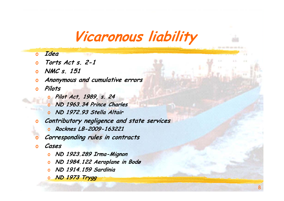### **Vicaronous liability**

### $\overline{0}$ **Idea**

- o**Torts Act s. 2-1**
- o **NMC s. 151**
- o**Anonymous and cumulative errors**
- o **Pilots**
	- o **Pilot Act, 1989, s. 24**
	- o **ND 1963.34 Prince Charles**
	- o **ND 1972.93 Stella Altair**
- o **Contributory negligence and state services**
	- o **Rocknes LB-2009-163221**
- **Corresponding rules in contracts**
- o**Cases**

o

- o **ND 1923.289 Irma-Mignon**
- o**ND 1984.122 Aeroplane in Bodø**
- o**ND 1914.159 Sardinia**
- o **ND 1973 Trygg**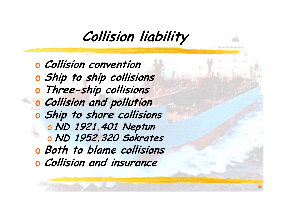### **Collision liability**

<sup>o</sup> **Collision convention** <sup>o</sup> **Ship to ship collisions** <sup>o</sup> **Three-ship collisions** <sup>o</sup> **Collision and pollution** <sup>o</sup> **Ship to shore collisions** <sup>o</sup> **ND 1921.401 Neptun** <sup>o</sup> **ND 1952.320 Sokrates** <sup>o</sup> **Both to blame collisions** <sup>o</sup> **Collision and insurance**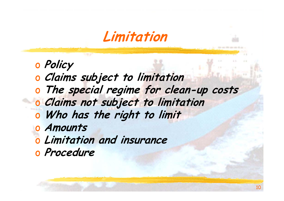**Limitation**

- <sup>o</sup> **Policy**
- <sup>o</sup> **Claims subject to limitation**
- <sup>o</sup> **The special regime for clean-up costs**
- <sup>o</sup> **Claims not subject to limitation**
- <sup>o</sup> **Who has the right to limit**
- <sup>o</sup> **Amounts**
- <sup>o</sup> **Limitation and insurance**
- <sup>o</sup> **Procedure**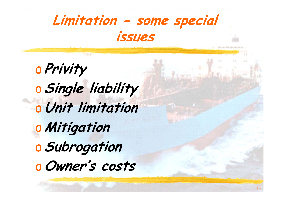

<sup>o</sup> **Privity** <sup>o</sup>**Single liability** <sup>o</sup>**Unit limitation** <sup>o</sup>**Mitigation** <sup>o</sup>**Subrogation** <sup>o</sup>**Owner's costs**